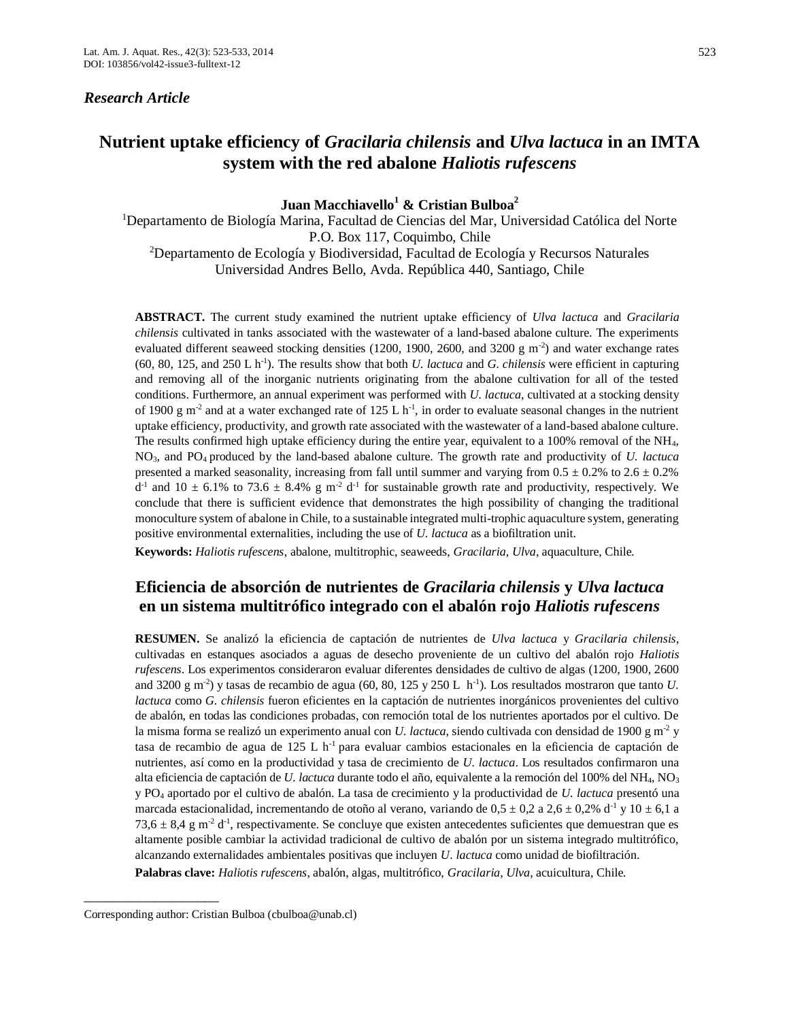## *Research Article*

# **Nutrient uptake efficiency of** *Gracilaria chilensis* **and** *Ulva lactuca* **in an IMTA system with the red abalone** *Haliotis rufescens*

## **Juan Macchiavello<sup>1</sup> & Cristian Bulboa<sup>2</sup>**

<sup>1</sup>Departamento de Biología Marina, Facultad de Ciencias del Mar, Universidad Católica del Norte P.O. Box 117, Coquimbo, Chile <sup>2</sup>Departamento de Ecología y Biodiversidad, Facultad de Ecología y Recursos Naturales Universidad Andres Bello, Avda. República 440, Santiago, Chile

**ABSTRACT.** The current study examined the nutrient uptake efficiency of *Ulva lactuca* and *Gracilaria chilensis* cultivated in tanks associated with the wastewater of a land-based abalone culture. The experiments evaluated different seaweed stocking densities (1200, 1900, 2600, and 3200 g  $\text{m}^2$ ) and water exchange rates  $(60, 80, 125, \text{ and } 250 \text{ L h}^{-1})$ . The results show that both *U. lactuca* and *G. chilensis* were efficient in capturing and removing all of the inorganic nutrients originating from the abalone cultivation for all of the tested conditions. Furthermore, an annual experiment was performed with *U. lactuca*, cultivated at a stocking density of 1900 g m<sup>-2</sup> and at a water exchanged rate of 125 L h<sup>-1</sup>, in order to evaluate seasonal changes in the nutrient uptake efficiency, productivity, and growth rate associated with the wastewater of a land-based abalone culture. The results confirmed high uptake efficiency during the entire year, equivalent to a 100% removal of the NH4, NO3, and PO4 produced by the land-based abalone culture. The growth rate and productivity of *U. lactuca* presented a marked seasonality, increasing from fall until summer and varying from  $0.5 \pm 0.2\%$  to  $2.6 \pm 0.2\%$  $d<sup>-1</sup>$  and  $10 \pm 6.1\%$  to 73.6  $\pm$  8.4% g m<sup>-2</sup> d<sup>-1</sup> for sustainable growth rate and productivity, respectively. We conclude that there is sufficient evidence that demonstrates the high possibility of changing the traditional monoculture system of abalone in Chile, to a sustainable integrated multi-trophic aquaculture system, generating positive environmental externalities, including the use of *U. lactuca* as a biofiltration unit.

**Keywords:** *Haliotis rufescens*, abalone, multitrophic, seaweeds, *Gracilaria*, *Ulva*, aquaculture, Chile*.*

## **Eficiencia de absorción de nutrientes de** *Gracilaria chilensis* **y** *Ulva lactuca*  **en un sistema multitrófico integrado con el abalón rojo** *Haliotis rufescens*

**RESUMEN.** Se analizó la eficiencia de captación de nutrientes de *Ulva lactuca* y *Gracilaria chilensis*, cultivadas en estanques asociados a aguas de desecho proveniente de un cultivo del abalón rojo *Haliotis rufescens*. Los experimentos consideraron evaluar diferentes densidades de cultivo de algas (1200, 1900, 2600 and 3200 g m<sup>-2</sup>) y tasas de recambio de agua (60, 80, 125 y 250 L h<sup>-1</sup>). Los resultados mostraron que tanto *U*. *lactuca* como *G. chilensis* fueron eficientes en la captación de nutrientes inorgánicos provenientes del cultivo de abalón, en todas las condiciones probadas, con remoción total de los nutrientes aportados por el cultivo. De la misma forma se realizó un experimento anual con *U. lactuca*, siendo cultivada con densidad de 1900 g m<sup>-2</sup> y tasa de recambio de agua de 125 L h-1 para evaluar cambios estacionales en la eficiencia de captación de nutrientes, así como en la productividad y tasa de crecimiento de *U. lactuca*. Los resultados confirmaron una alta eficiencia de captación de *U. lactuca* durante todo el año, equivalente a la remoción del 100% del NH<sub>4</sub>, NO<sub>3</sub> y PO<sup>4</sup> aportado por el cultivo de abalón. La tasa de crecimiento y la productividad de *U. lactuca* presentó una marcada estacionalidad, incrementando de otoño al verano, variando de  $0.5 \pm 0.2$  a  $2.6 \pm 0.2$ % d<sup>-1</sup> y 10  $\pm$  6.1 a 73,6  $\pm$  8,4 g m<sup>-2</sup> d<sup>-1</sup>, respectivamente. Se concluye que existen antecedentes suficientes que demuestran que es altamente posible cambiar la actividad tradicional de cultivo de abalón por un sistema integrado multitrófico, alcanzando externalidades ambientales positivas que incluyen *U. lactuca* como unidad de biofiltración.

**Palabras clave:** *Haliotis rufescens*, abalón, algas, multitrófico, *Gracilaria*, *Ulva*, acuicultura, Chile*.*

\_\_\_\_\_\_\_\_\_\_\_\_\_\_\_\_\_\_\_

Corresponding author: Cristian Bulboa [\(cbulboa@unab.cl\)](mailto:cbulboa@unab.cl)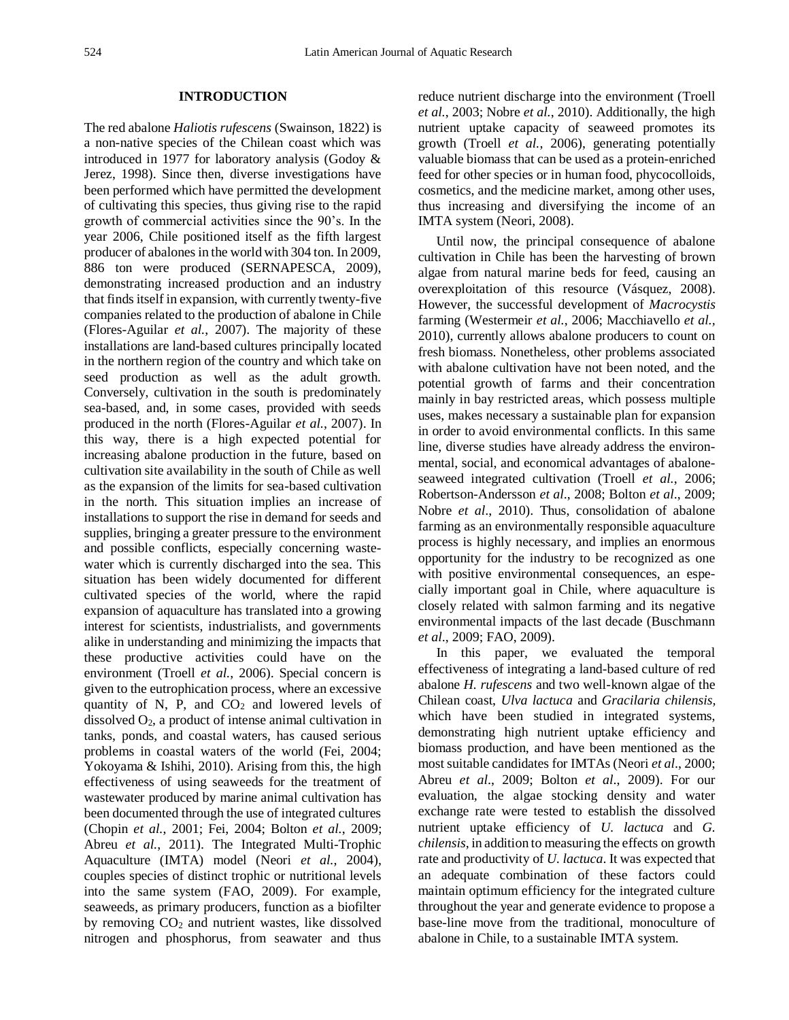## **INTRODUCTION**

The red abalone *Haliotis rufescens* (Swainson, 1822) is a non-native species of the Chilean coast which was introduced in 1977 for laboratory analysis (Godoy & Jerez, 1998). Since then, diverse investigations have been performed which have permitted the development of cultivating this species, thus giving rise to the rapid growth of commercial activities since the 90's. In the year 2006, Chile positioned itself as the fifth largest producer of abalones in the world with 304 ton. In 2009, 886 ton were produced (SERNAPESCA, 2009), demonstrating increased production and an industry that finds itself in expansion, with currently twenty-five companies related to the production of abalone in Chile (Flores-Aguilar *et al.*, 2007). The majority of these installations are land-based cultures principally located in the northern region of the country and which take on seed production as well as the adult growth. Conversely, cultivation in the south is predominately sea-based, and, in some cases, provided with seeds produced in the north (Flores-Aguilar *et al.*, 2007). In this way, there is a high expected potential for increasing abalone production in the future, based on cultivation site availability in the south of Chile as well as the expansion of the limits for sea-based cultivation in the north. This situation implies an increase of installations to support the rise in demand for seeds and supplies, bringing a greater pressure to the environment and possible conflicts, especially concerning wastewater which is currently discharged into the sea. This situation has been widely documented for different cultivated species of the world, where the rapid expansion of aquaculture has translated into a growing interest for scientists, industrialists, and governments alike in understanding and minimizing the impacts that these productive activities could have on the environment (Troell *et al.*, 2006). Special concern is given to the eutrophication process, where an excessive quantity of N, P, and  $CO<sub>2</sub>$  and lowered levels of dissolved  $O_2$ , a product of intense animal cultivation in tanks, ponds, and coastal waters, has caused serious problems in coastal waters of the world (Fei, 2004; Yokoyama & Ishihi, 2010). Arising from this, the high effectiveness of using seaweeds for the treatment of wastewater produced by marine animal cultivation has been documented through the use of integrated cultures (Chopin *et al.*, 2001; Fei, 2004; Bolton *et al.*, 2009; Abreu *et al.*, 2011). The Integrated Multi-Trophic Aquaculture (IMTA) model (Neori *et al.*, 2004), couples species of distinct trophic or nutritional levels into the same system (FAO, 2009). For example, seaweeds, as primary producers, function as a biofilter by removing  $CO<sub>2</sub>$  and nutrient wastes, like dissolved nitrogen and phosphorus, from seawater and thus reduce nutrient discharge into the environment (Troell *et al.*, 2003; Nobre *et al.*, 2010). Additionally, the high nutrient uptake capacity of seaweed promotes its growth (Troell *et al.*, 2006), generating potentially valuable biomass that can be used as a protein-enriched feed for other species or in human food, phycocolloids, cosmetics, and the medicine market, among other uses, thus increasing and diversifying the income of an IMTA system (Neori, 2008).

Until now, the principal consequence of abalone cultivation in Chile has been the harvesting of brown algae from natural marine beds for feed, causing an overexploitation of this resource (Vásquez, 2008). However, the successful development of *Macrocystis* farming (Westermeir *et al.*, 2006; Macchiavello *et al.,* 2010), currently allows abalone producers to count on fresh biomass. Nonetheless, other problems associated with abalone cultivation have not been noted, and the potential growth of farms and their concentration mainly in bay restricted areas, which possess multiple uses, makes necessary a sustainable plan for expansion in order to avoid environmental conflicts. In this same line, diverse studies have already address the environmental, social, and economical advantages of abaloneseaweed integrated cultivation (Troell *et al.*, 2006; Robertson-Andersson *et al*., 2008; Bolton *et al*., 2009; Nobre *et al*., 2010). Thus, consolidation of abalone farming as an environmentally responsible aquaculture process is highly necessary, and implies an enormous opportunity for the industry to be recognized as one with positive environmental consequences, an especially important goal in Chile, where aquaculture is closely related with salmon farming and its negative environmental impacts of the last decade (Buschmann *et al*., 2009; FAO, 2009).

In this paper, we evaluated the temporal effectiveness of integrating a land-based culture of red abalone *H. rufescens* and two well-known algae of the Chilean coast, *Ulva lactuca* and *Gracilaria chilensis,*  which have been studied in integrated systems, demonstrating high nutrient uptake efficiency and biomass production, and have been mentioned as the most suitable candidates for IMTAs (Neori *et al*., 2000; Abreu *et al*., 2009; Bolton *et al*., 2009). For our evaluation, the algae stocking density and water exchange rate were tested to establish the dissolved nutrient uptake efficiency of *U. lactuca* and *G. chilensis*, in addition to measuring the effects on growth rate and productivity of *U. lactuca*. It was expected that an adequate combination of these factors could maintain optimum efficiency for the integrated culture throughout the year and generate evidence to propose a base-line move from the traditional, monoculture of abalone in Chile, to a sustainable IMTA system.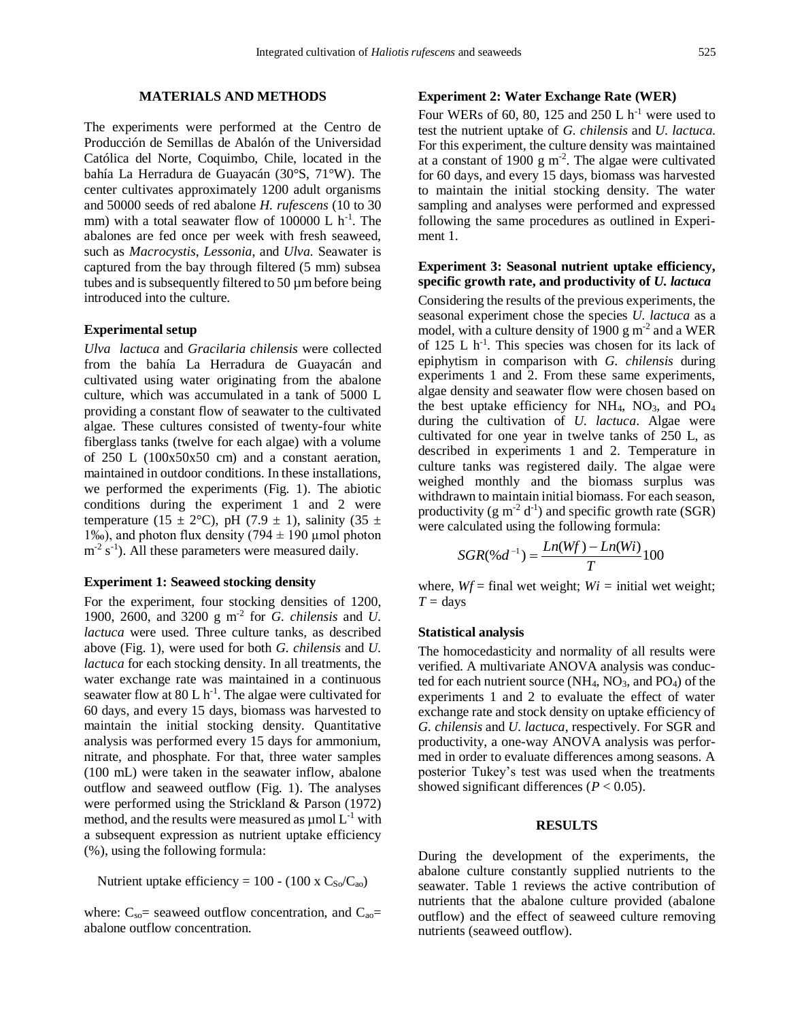## **MATERIALS AND METHODS**

The experiments were performed at the Centro de Producción de Semillas de Abalón of the Universidad Católica del Norte, Coquimbo, Chile, located in the bahía La Herradura de Guayacán (30°S, 71°W). The center cultivates approximately 1200 adult organisms and 50000 seeds of red abalone *H. rufescens* (10 to 30 mm) with a total seawater flow of  $100000 \text{ L h}^{-1}$ . The abalones are fed once per week with fresh seaweed, such as *Macrocystis*, *Lessonia*, and *Ulva.* Seawater is captured from the bay through filtered (5 mm) subsea tubes and is subsequently filtered to 50 µm before being introduced into the culture.

#### **Experimental setup**

*Ulva lactuca* and *Gracilaria chilensis* were collected from the bahía La Herradura de Guayacán and cultivated using water originating from the abalone culture, which was accumulated in a tank of 5000 L providing a constant flow of seawater to the cultivated algae. These cultures consisted of twenty-four white fiberglass tanks (twelve for each algae) with a volume of 250 L (100x50x50 cm) and a constant aeration, maintained in outdoor conditions. In these installations, we performed the experiments (Fig. 1). The abiotic conditions during the experiment 1 and 2 were temperature (15  $\pm$  2°C), pH (7.9  $\pm$  1), salinity (35  $\pm$ 1‰), and photon flux density (794  $\pm$  190 µmol photon  $m^{-2}$  s<sup>-1</sup>). All these parameters were measured daily.

#### **Experiment 1: Seaweed stocking density**

For the experiment, four stocking densities of 1200, 1900, 2600, and 3200 g m-2 for *G. chilensis* and *U. lactuca* were used. Three culture tanks, as described above (Fig. 1), were used for both *G. chilensis* and *U. lactuca* for each stocking density. In all treatments, the water exchange rate was maintained in a continuous seawater flow at  $80 L h^{-1}$ . The algae were cultivated for 60 days, and every 15 days, biomass was harvested to maintain the initial stocking density. Quantitative analysis was performed every 15 days for ammonium, nitrate, and phosphate. For that, three water samples (100 mL) were taken in the seawater inflow, abalone outflow and seaweed outflow (Fig. 1). The analyses were performed using the Strickland & Parson (1972) method, and the results were measured as  $\mu$ mol  $L^{-1}$  with a subsequent expression as nutrient uptake efficiency (%), using the following formula:

Nutrient uptake efficiency = 100 - (100 x  $C_{\text{So}}/C_{\text{ao}}$ )

where:  $C_{so}$  seaweed outflow concentration, and  $C_{ao}$  = abalone outflow concentration.

## **Experiment 2: Water Exchange Rate (WER)**

Four WERs of 60, 80, 125 and 250 L  $h^{-1}$  were used to test the nutrient uptake of *G. chilensis* and *U. lactuca.* For this experiment, the culture density was maintained at a constant of 1900  $\text{g m}^2$ . The algae were cultivated for 60 days, and every 15 days, biomass was harvested to maintain the initial stocking density. The water sampling and analyses were performed and expressed following the same procedures as outlined in Experiment 1.

#### **Experiment 3: Seasonal nutrient uptake efficiency, specific growth rate, and productivity of** *U. lactuca*

Considering the results of the previous experiments, the seasonal experiment chose the species *U. lactuca* as a model, with a culture density of 1900  $\rm g$  m<sup>-2</sup> and a WER of  $125$  L h<sup>-1</sup>. This species was chosen for its lack of epiphytism in comparison with *G. chilensis* during experiments 1 and 2. From these same experiments, algae density and seawater flow were chosen based on the best uptake efficiency for  $NH_4$ ,  $NO_3$ , and  $PO_4$ during the cultivation of *U. lactuca*. Algae were cultivated for one year in twelve tanks of 250 L, as described in experiments 1 and 2. Temperature in culture tanks was registered daily. The algae were weighed monthly and the biomass surplus was withdrawn to maintain initial biomass. For each season, productivity (g m<sup>-2</sup> d<sup>-1</sup>) and specific growth rate (SGR) were calculated using the following formula:

$$
SGR(\%d^{-1}) = \frac{Ln(Wf) - Ln(Wi)}{T}100
$$

where,  $Wf = \text{final}$  wet weight;  $Wi = \text{initial}$  wet weight;  $T =$  days

#### **Statistical analysis**

The homocedasticity and normality of all results were verified. A multivariate ANOVA analysis was conducted for each nutrient source  $(NH_4, NO_3, and PO_4)$  of the experiments 1 and 2 to evaluate the effect of water exchange rate and stock density on uptake efficiency of *G. chilensis* and *U. lactuca*, respectively. For SGR and productivity, a one-way ANOVA analysis was performed in order to evaluate differences among seasons. A posterior Tukey's test was used when the treatments showed significant differences ( $P < 0.05$ ).

#### **RESULTS**

During the development of the experiments, the abalone culture constantly supplied nutrients to the seawater. Table 1 reviews the active contribution of nutrients that the abalone culture provided (abalone outflow) and the effect of seaweed culture removing nutrients (seaweed outflow).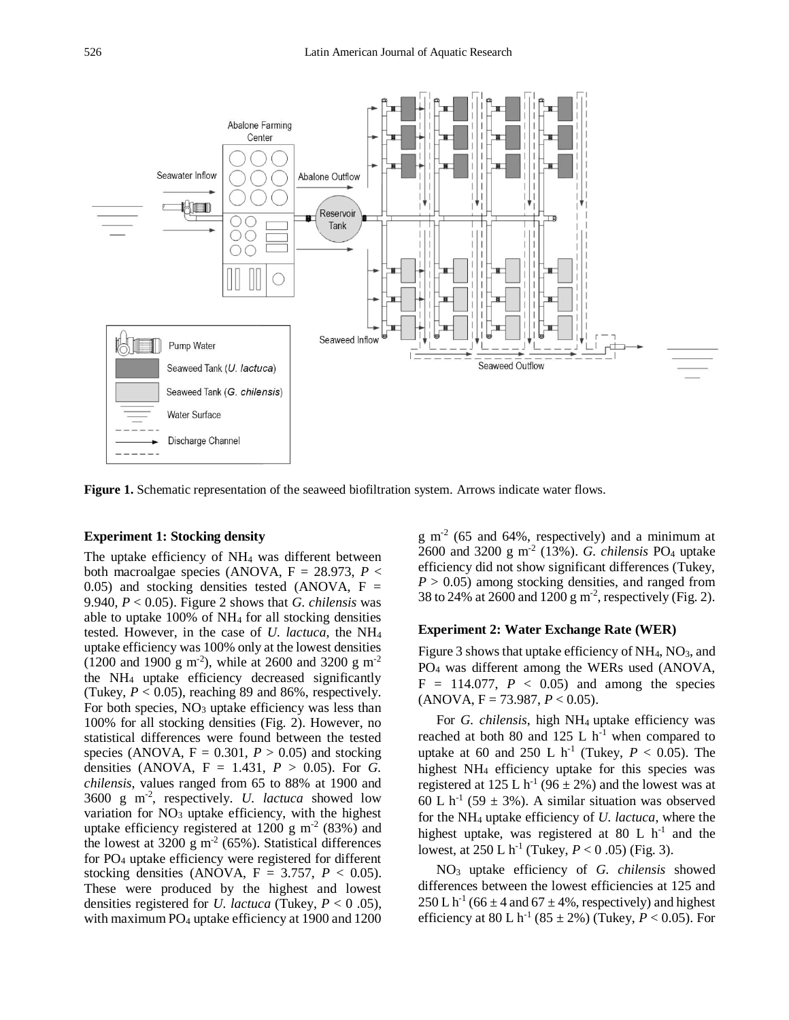

**Figure 1.** Schematic representation of the seaweed biofiltration system. Arrows indicate water flows.

#### **Experiment 1: Stocking density**

The uptake efficiency of NH<sup>4</sup> was different between both macroalgae species (ANOVA,  $F = 28.973$ ,  $P <$ 0.05) and stocking densities tested (ANOVA,  $F =$ 9.940, *P* < 0.05). Figure 2 shows that *G. chilensis* was able to uptake 100% of NH<sup>4</sup> for all stocking densities tested. However, in the case of *U. lactuca*, the NH<sup>4</sup> uptake efficiency was 100% only at the lowest densities  $(1200 \text{ and } 1900 \text{ g m}^{-2})$ , while at 2600 and 3200 g m<sup>-2</sup> the NH<sup>4</sup> uptake efficiency decreased significantly (Tukey,  $P < 0.05$ ), reaching 89 and 86%, respectively. For both species,  $NO<sub>3</sub>$  uptake efficiency was less than 100% for all stocking densities (Fig. 2). However, no statistical differences were found between the tested species (ANOVA,  $F = 0.301$ ,  $P > 0.05$ ) and stocking densities (ANOVA, F = 1.431, *P* > 0.05). For *G. chilensis*, values ranged from 65 to 88% at 1900 and 3600 g m-2 , respectively. *U. lactuca* showed low variation for  $NO<sub>3</sub>$  uptake efficiency, with the highest uptake efficiency registered at 1200 g  $m<sup>2</sup>$  (83%) and the lowest at  $3200 \text{ g m}^2$  (65%). Statistical differences for PO<sup>4</sup> uptake efficiency were registered for different stocking densities (ANOVA,  $F = 3.757$ ,  $P < 0.05$ ). These were produced by the highest and lowest densities registered for *U. lactuca* (Tukey, *P* < 0 .05), with maximum PO<sup>4</sup> uptake efficiency at 1900 and 1200

 $g$  m<sup>-2</sup> (65 and 64%, respectively) and a minimum at 2600 and 3200 g m-2 (13%). *G. chilensis* PO<sup>4</sup> uptake efficiency did not show significant differences (Tukey,  $P > 0.05$ ) among stocking densities, and ranged from 38 to 24% at 2600 and 1200 g m<sup>-2</sup>, respectively (Fig. 2).

## **Experiment 2: Water Exchange Rate (WER)**

Figure 3 shows that uptake efficiency of  $NH<sub>4</sub>$ , NO<sub>3</sub>, and PO<sup>4</sup> was different among the WERs used (ANOVA,  $F = 114.077$ ,  $P < 0.05$ ) and among the species  $(ANOVA, F = 73.987, P < 0.05).$ 

For *G. chilensis*, high NH<sup>4</sup> uptake efficiency was reached at both 80 and 125 L  $h^{-1}$  when compared to uptake at 60 and 250 L  $h^{-1}$  (Tukey,  $P < 0.05$ ). The highest NH<sup>4</sup> efficiency uptake for this species was registered at  $125 \text{ L} \text{ h}^{-1} (96 \pm 2\%)$  and the lowest was at 60 L h<sup>-1</sup> (59  $\pm$  3%). A similar situation was observed for the NH<sup>4</sup> uptake efficiency of *U. lactuca*, where the highest uptake, was registered at 80 L  $h^{-1}$  and the lowest, at 250 L h<sup>-1</sup> (Tukey,  $P < 0.05$ ) (Fig. 3).

NO<sup>3</sup> uptake efficiency of *G. chilensis* showed differences between the lowest efficiencies at 125 and  $250 \text{ L} \text{ h}^1$  (66  $\pm$  4 and 67  $\pm$  4%, respectively) and highest efficiency at 80 L h<sup>-1</sup> (85  $\pm$  2%) (Tukey, *P* < 0.05). For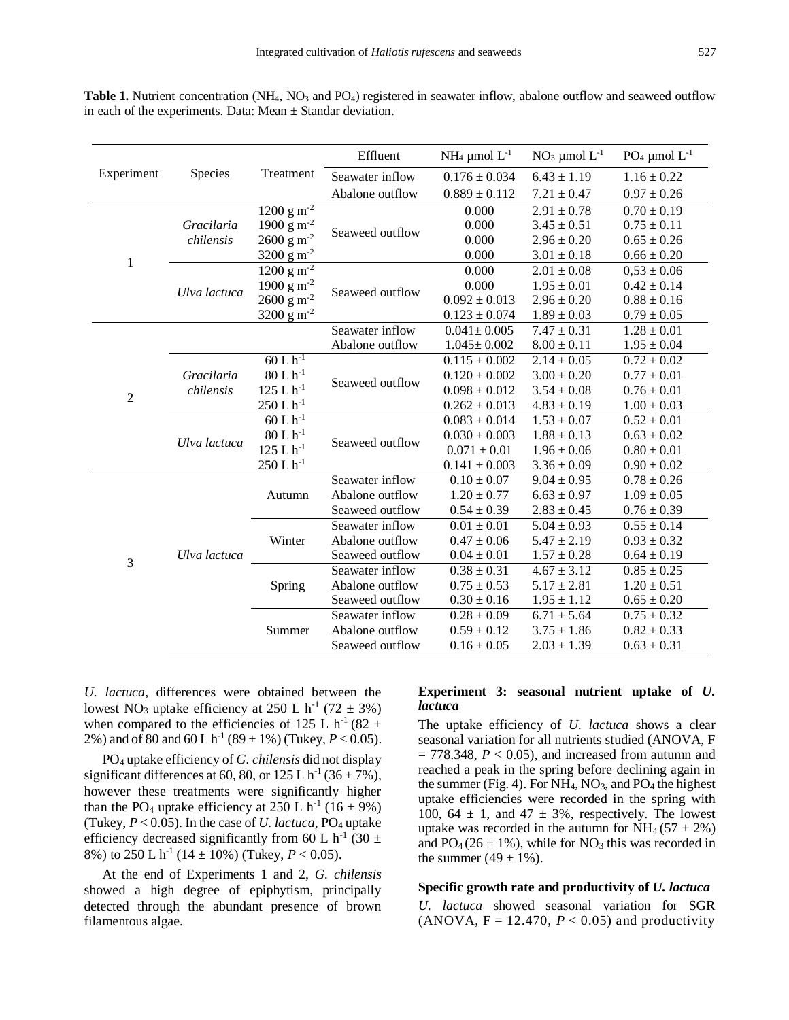**Table 1.** Nutrient concentration (NH<sub>4</sub>, NO<sub>3</sub> and PO<sub>4</sub>) registered in seawater inflow, abalone outflow and seaweed outflow in each of the experiments. Data: Mean  $\pm$  Standar deviation.

| Experiment     | Species                 | Treatment                            | Effluent        | $NH_4 \mu$ mol $L^{-1}$ | $NO3 \mu mol L-1$ | PO <sub>4</sub> µmol $L^{-1}$ |
|----------------|-------------------------|--------------------------------------|-----------------|-------------------------|-------------------|-------------------------------|
|                |                         |                                      | Seawater inflow | $0.176 \pm 0.034$       | $6.43 \pm 1.19$   | $1.16 \pm 0.22$               |
|                |                         |                                      | Abalone outflow | $0.889 \pm 0.112$       | $7.21 \pm 0.47$   | $0.97 \pm 0.26$               |
| $\mathbf{1}$   | Gracilaria<br>chilensis | $\frac{1200 \text{ g m}^{-2}}{2}$    | Seaweed outflow | 0.000                   | $2.91 \pm 0.78$   | $0.70 \pm 0.19$               |
|                |                         | 1900 g m <sup>-2</sup>               |                 | 0.000                   | $3.45 \pm 0.51$   | $0.75 \pm 0.11$               |
|                |                         | $2600~{\rm g}~{\rm m}^{2}$           |                 | 0.000                   | $2.96 \pm 0.20$   | $0.65 \pm 0.26$               |
|                |                         | 3200 g $m^{-2}$                      |                 | 0.000                   | $3.01 \pm 0.18$   | $0.66 \pm 0.20$               |
|                | Ulva lactuca            | $1200 \frac{1}{\text{g m}^2}$        | Seaweed outflow | 0.000                   | $2.01 \pm 0.08$   | $0,53 \pm 0.06$               |
|                |                         | 1900 g $m^{-2}$                      |                 | 0.000                   | $1.95 \pm 0.01$   | $0.42 \pm 0.14$               |
|                |                         | $2600 \text{ g m}^{-2}$              |                 | $0.092 \pm 0.013$       | $2.96 \pm 0.20$   | $0.88 \pm 0.16$               |
|                |                         | 3200 g $m^{-2}$                      |                 | $0.123 \pm 0.074$       | $1.89 \pm 0.03$   | $0.79 \pm 0.05$               |
| $\overline{2}$ |                         |                                      | Seawater inflow | $0.041 \pm 0.005$       | $7.47 \pm 0.31$   | $1.28 \pm 0.01$               |
|                |                         |                                      | Abalone outflow | $1.045 \pm 0.002$       | $8.00 \pm 0.11$   | $1.95 \pm 0.04$               |
|                | Gracilaria<br>chilensis | $60 L h^{-1}$                        | Seaweed outflow | $0.115 \pm 0.002$       | $2.14 \pm 0.05$   | $0.72 \pm 0.02$               |
|                |                         | $80 L h^{-1}$                        |                 | $0.120 \pm 0.002$       | $3.00 \pm 0.20$   | $0.77 \pm 0.01$               |
|                |                         | $125\;{\rm L}\,{\rm h}^{\textrm -1}$ |                 | $0.098 \pm 0.012$       | $3.54 \pm 0.08$   | $0.76 \pm 0.01$               |
|                |                         | $250 L h^{-1}$                       |                 | $0.262 \pm 0.013$       | $4.83 \pm 0.19$   | $1.00 \pm 0.03$               |
|                | Ulva lactuca            | $60 L h^{-1}$                        | Seaweed outflow | $0.083 \pm 0.014$       | $1.53 \pm 0.07$   | $0.52 \pm 0.01$               |
|                |                         | $80 L h^{-1}$                        |                 | $0.030 \pm 0.003$       | $1.88 \pm 0.13$   | $0.63 \pm 0.02$               |
|                |                         | 125 L <sup>1</sup>                   |                 | $0.071 \pm 0.01$        | $1.96 \pm 0.06$   | $0.80 \pm 0.01$               |
|                |                         | $250 L h^{-1}$                       |                 | $0.141 \pm 0.003$       | $3.36 \pm 0.09$   | $0.90 \pm 0.02$               |
| 3              | Ulva lactuca            | Autumn                               | Seawater inflow | $0.10 \pm 0.07$         | $9.04 \pm 0.95$   | $0.78 \pm 0.26$               |
|                |                         |                                      | Abalone outflow | $1.20 \pm 0.77$         | $6.63 \pm 0.97$   | $1.09 \pm 0.05$               |
|                |                         |                                      | Seaweed outflow | $0.54 \pm 0.39$         | $2.83 \pm 0.45$   | $0.76 \pm 0.39$               |
|                |                         | Winter                               | Seawater inflow | $0.01 \pm 0.01$         | $5.04 \pm 0.93$   | $0.55 \pm 0.14$               |
|                |                         |                                      | Abalone outflow | $0.47 \pm 0.06$         | $5.47 \pm 2.19$   | $0.93 \pm 0.32$               |
|                |                         |                                      | Seaweed outflow | $0.04 \pm 0.01$         | $1.57 \pm 0.28$   | $0.64 \pm 0.19$               |
|                |                         | Spring                               | Seawater inflow | $0.38 \pm 0.31$         | $4.67 \pm 3.12$   | $0.85 \pm 0.25$               |
|                |                         |                                      | Abalone outflow | $0.75 \pm 0.53$         | $5.17 \pm 2.81$   | $1.20 \pm 0.51$               |
|                |                         |                                      | Seaweed outflow | $0.30 \pm 0.16$         | $1.95 \pm 1.12$   | $0.65 \pm 0.20$               |
|                |                         | Summer                               | Seawater inflow | $0.28 \pm 0.09$         | $6.71 \pm 5.64$   | $0.75 \pm 0.32$               |
|                |                         |                                      | Abalone outflow | $0.59 \pm 0.12$         | $3.75 \pm 1.86$   | $0.82 \pm 0.33$               |
|                |                         |                                      | Seaweed outflow | $0.16 \pm 0.05$         | $2.03 \pm 1.39$   | $0.63 \pm 0.31$               |

*U. lactuca*, differences were obtained between the lowest NO<sub>3</sub> uptake efficiency at 250 L h<sup>-1</sup> (72  $\pm$  3%) when compared to the efficiencies of 125 L h<sup>-1</sup> (82  $\pm$ 2%) and of 80 and 60 L h<sup>-1</sup> (89  $\pm$  1%) (Tukey, *P* < 0.05).

PO<sup>4</sup> uptake efficiency of *G. chilensis* did not display significant differences at 60, 80, or  $125 \text{ L} \text{ h}^{\text{-1}} (36 \pm 7\%)$ , however these treatments were significantly higher than the PO<sub>4</sub> uptake efficiency at 250 L h<sup>-1</sup> (16  $\pm$  9%) (Tukey,  $P < 0.05$ ). In the case of *U. lactuca*,  $PO_4$  uptake efficiency decreased significantly from 60 L h<sup>-1</sup> (30  $\pm$ ) 8%) to 250 L h<sup>-1</sup> (14  $\pm$  10%) (Tukey, *P* < 0.05).

At the end of Experiments 1 and 2, *G. chilensis* showed a high degree of epiphytism, principally detected through the abundant presence of brown filamentous algae.

#### **Experiment 3: seasonal nutrient uptake of** *U. lactuca*

The uptake efficiency of *U. lactuca* shows a clear seasonal variation for all nutrients studied (ANOVA, F  $= 778.348$ ,  $P < 0.05$ ), and increased from autumn and reached a peak in the spring before declining again in the summer (Fig. 4). For  $NH_4$ ,  $NO_3$ , and  $PO_4$  the highest uptake efficiencies were recorded in the spring with 100, 64  $\pm$  1, and 47  $\pm$  3%, respectively. The lowest uptake was recorded in the autumn for  $NH_4 (57 \pm 2\%)$ and  $PO_4(26 \pm 1\%)$ , while for NO<sub>3</sub> this was recorded in the summer  $(49 \pm 1\%)$ .

## **Specific growth rate and productivity of** *U. lactuca*

*U. lactuca* showed seasonal variation for SGR (ANOVA,  $F = 12.470$ ,  $P < 0.05$ ) and productivity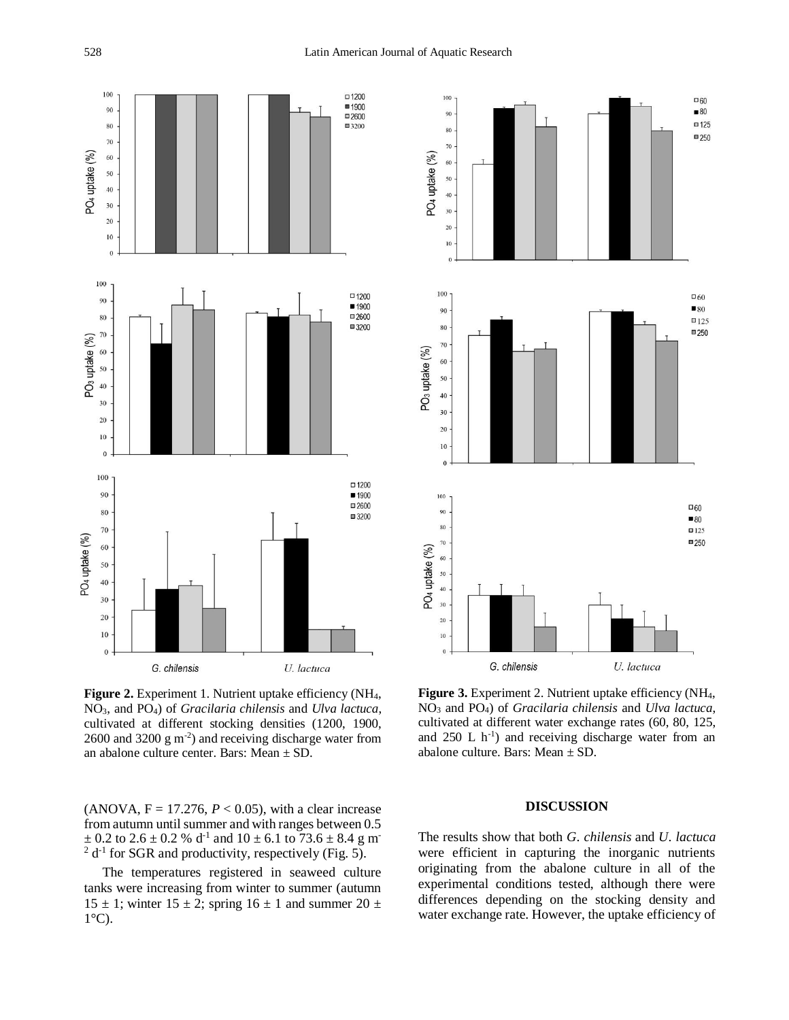

**Figure 2.** Experiment 1. Nutrient uptake efficiency (NH4, NO3, and PO4) of *Gracilaria chilensis* and *Ulva lactuca*, cultivated at different stocking densities (1200, 1900,  $2600$  and  $3200$  g m<sup>-2</sup>) and receiving discharge water from an abalone culture center. Bars: Mean  $\pm$  SD.

(ANOVA,  $F = 17.276$ ,  $P < 0.05$ ), with a clear increase from autumn until summer and with ranges between 0.5  $\pm$  0.2 to 2.6  $\pm$  0.2 % d<sup>-1</sup> and 10  $\pm$  6.1 to 73.6  $\pm$  8.4 g m<sup>-</sup>  $2 d^{-1}$  for SGR and productivity, respectively (Fig. 5).

The temperatures registered in seaweed culture tanks were increasing from winter to summer (autumn  $15 \pm 1$ ; winter  $15 \pm 2$ ; spring  $16 \pm 1$  and summer  $20 \pm 1$  $1^{\circ}$ C).



**Figure 3.** Experiment 2. Nutrient uptake efficiency (NH<sub>4</sub>, NO<sup>3</sup> and PO4) of *Gracilaria chilensis* and *Ulva lactuca*, cultivated at different water exchange rates (60, 80, 125, and  $250$  L  $h^{-1}$ ) and receiving discharge water from an abalone culture. Bars: Mean ± SD.

#### **DISCUSSION**

The results show that both *G*. *chilensis* and *U*. *lactuca* were efficient in capturing the inorganic nutrients originating from the abalone culture in all of the experimental conditions tested, although there were differences depending on the stocking density and water exchange rate. However, the uptake efficiency of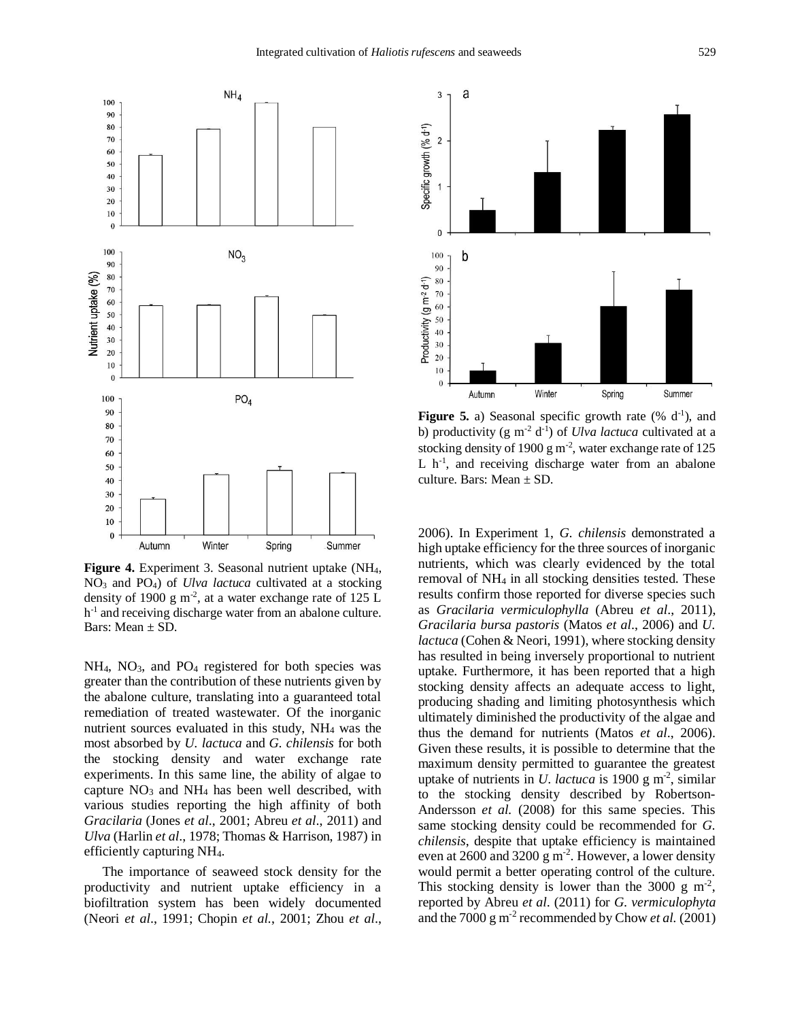

**Figure 4.** Experiment 3. Seasonal nutrient uptake (NH<sub>4</sub>, NO<sup>3</sup> and PO4) of *Ulva lactuca* cultivated at a stocking density of 1900 g m<sup>-2</sup>, at a water exchange rate of 125 L h<sup>-1</sup> and receiving discharge water from an abalone culture. Bars: Mean ± SD.

NH<sub>4</sub>, NO<sub>3</sub>, and PO<sub>4</sub> registered for both species was greater than the contribution of these nutrients given by the abalone culture, translating into a guaranteed total remediation of treated wastewater. Of the inorganic nutrient sources evaluated in this study, NH<sup>4</sup> was the most absorbed by *U. lactuca* and *G. chilensis* for both the stocking density and water exchange rate experiments. In this same line, the ability of algae to capture  $NO<sub>3</sub>$  and  $NH<sub>4</sub>$  has been well described, with various studies reporting the high affinity of both *Gracilaria* (Jones *et al*., 2001; Abreu *et al*., 2011) and *Ulva* (Harlin *et al*., 1978; Thomas & Harrison, 1987) in efficiently capturing NH4.

The importance of seaweed stock density for the productivity and nutrient uptake efficiency in a biofiltration system has been widely documented (Neori *et al*., 1991; Chopin *et al.*, 2001; Zhou *et al*.,



**Figure 5.** a) Seasonal specific growth rate  $(\% d^{-1})$ , and b) productivity (g m<sup>-2</sup> d<sup>-1</sup>) of *Ulva lactuca* cultivated at a stocking density of 1900 g m<sup>-2</sup>, water exchange rate of 125 L h<sup>-1</sup>, and receiving discharge water from an abalone culture. Bars: Mean  $\pm$  SD.

2006). In Experiment 1, *G. chilensis* demonstrated a high uptake efficiency for the three sources of inorganic nutrients, which was clearly evidenced by the total removal of NH<sup>4</sup> in all stocking densities tested. These results confirm those reported for diverse species such as *Gracilaria vermiculophylla* (Abreu *et al*., 2011), *Gracilaria bursa pastoris* (Matos *et al*., 2006) and *U. lactuca* (Cohen & Neori, 1991), where stocking density has resulted in being inversely proportional to nutrient uptake. Furthermore, it has been reported that a high stocking density affects an adequate access to light, producing shading and limiting photosynthesis which ultimately diminished the productivity of the algae and thus the demand for nutrients (Matos *et al*., 2006). Given these results, it is possible to determine that the maximum density permitted to guarantee the greatest uptake of nutrients in *U. lactuca* is 1900 g m<sup>-2</sup>, similar to the stocking density described by Robertson-Andersson *et al.* (2008) for this same species. This same stocking density could be recommended for *G. chilensis*, despite that uptake efficiency is maintained even at 2600 and 3200  $\rm g$  m<sup>-2</sup>. However, a lower density would permit a better operating control of the culture. This stocking density is lower than the 3000 g  $m^2$ , reported by Abreu *et al*. (2011) for *G. vermiculophyta* and the 7000 g m-2 recommended by Chow *et al.* (2001)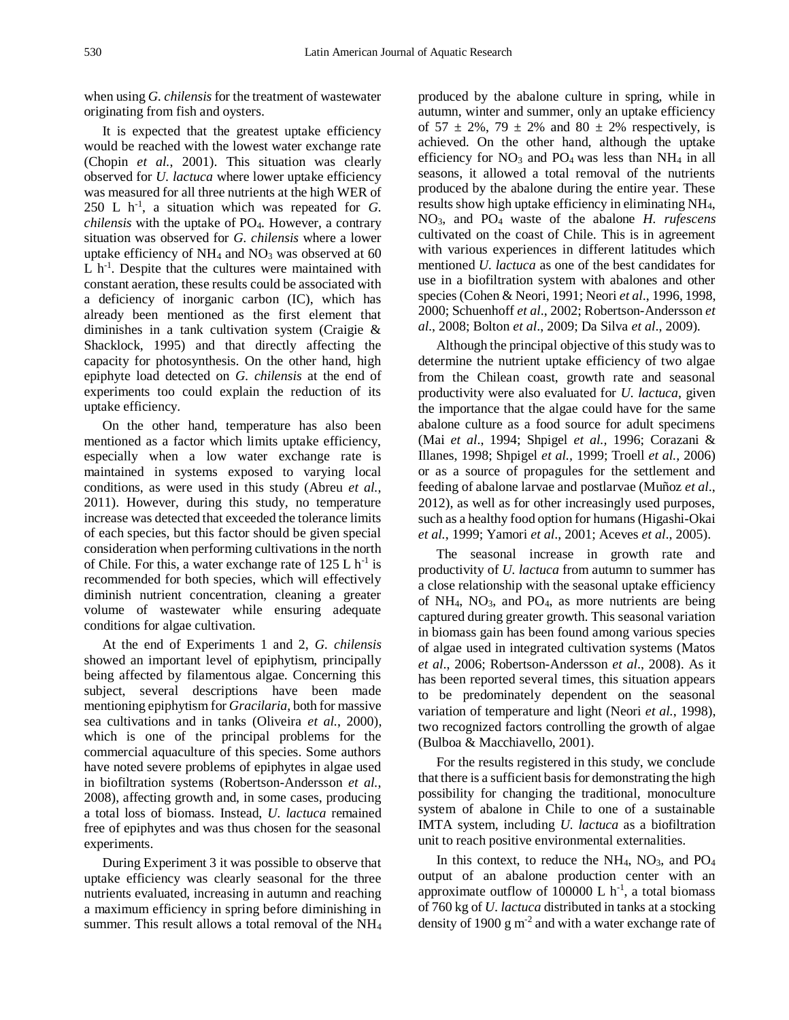when using *G. chilensis* for the treatment of wastewater originating from fish and oysters.

It is expected that the greatest uptake efficiency would be reached with the lowest water exchange rate (Chopin *et al.*, 2001). This situation was clearly observed for *U. lactuca* where lower uptake efficiency was measured for all three nutrients at the high WER of 250 L  $h^{-1}$ , a situation which was repeated for *G*. *chilensis* with the uptake of PO4. However, a contrary situation was observed for *G. chilensis* where a lower uptake efficiency of  $NH_4$  and  $NO_3$  was observed at 60  $L$  h<sup>-1</sup>. Despite that the cultures were maintained with constant aeration, these results could be associated with a deficiency of inorganic carbon (IC), which has already been mentioned as the first element that diminishes in a tank cultivation system (Craigie & Shacklock, 1995) and that directly affecting the capacity for photosynthesis. On the other hand, high epiphyte load detected on *G. chilensis* at the end of experiments too could explain the reduction of its uptake efficiency.

On the other hand, temperature has also been mentioned as a factor which limits uptake efficiency, especially when a low water exchange rate is maintained in systems exposed to varying local conditions, as were used in this study (Abreu *et al.*, 2011). However, during this study, no temperature increase was detected that exceeded the tolerance limits of each species, but this factor should be given special consideration when performing cultivations in the north of Chile. For this, a water exchange rate of  $125 \text{ L h}^{-1}$  is recommended for both species, which will effectively diminish nutrient concentration, cleaning a greater volume of wastewater while ensuring adequate conditions for algae cultivation.

At the end of Experiments 1 and 2, *G. chilensis* showed an important level of epiphytism, principally being affected by filamentous algae. Concerning this subject, several descriptions have been made mentioning epiphytism for *Gracilaria*, both for massive sea cultivations and in tanks (Oliveira *et al.*, 2000), which is one of the principal problems for the commercial aquaculture of this species. Some authors have noted severe problems of epiphytes in algae used in biofiltration systems (Robertson-Andersson *et al.*, 2008), affecting growth and, in some cases, producing a total loss of biomass. Instead, *U. lactuca* remained free of epiphytes and was thus chosen for the seasonal experiments.

During Experiment 3 it was possible to observe that uptake efficiency was clearly seasonal for the three nutrients evaluated, increasing in autumn and reaching a maximum efficiency in spring before diminishing in summer. This result allows a total removal of the NH<sub>4</sub> produced by the abalone culture in spring, while in autumn, winter and summer, only an uptake efficiency of  $57 \pm 2\%$ ,  $79 \pm 2\%$  and  $80 \pm 2\%$  respectively, is achieved. On the other hand, although the uptake efficiency for  $NO_3$  and  $PO_4$  was less than  $NH_4$  in all seasons, it allowed a total removal of the nutrients produced by the abalone during the entire year. These results show high uptake efficiency in eliminating NH4, NO3, and PO<sup>4</sup> waste of the abalone *H. rufescens* cultivated on the coast of Chile. This is in agreement with various experiences in different latitudes which mentioned *U. lactuca* as one of the best candidates for use in a biofiltration system with abalones and other species (Cohen & Neori, 1991; Neori *et al*., 1996, 1998, 2000; Schuenhoff *et al*., 2002; Robertson-Andersson *et al*., 2008; Bolton *et al*., 2009; Da Silva *et al*., 2009).

Although the principal objective of this study was to determine the nutrient uptake efficiency of two algae from the Chilean coast, growth rate and seasonal productivity were also evaluated for *U. lactuca*, given the importance that the algae could have for the same abalone culture as a food source for adult specimens (Mai *et al*., 1994; Shpigel *et al.,* 1996; Corazani & Illanes, 1998; Shpigel *et al.,* 1999; Troell *et al.,* 2006) or as a source of propagules for the settlement and feeding of abalone larvae and postlarvae (Muñoz *et al*., 2012), as well as for other increasingly used purposes, such as a healthy food option for humans (Higashi-Okai *et al.*, 1999; Yamori *et al*., 2001; Aceves *et al*., 2005).

The seasonal increase in growth rate and productivity of *U. lactuca* from autumn to summer has a close relationship with the seasonal uptake efficiency of  $NH_4$ ,  $NO_3$ , and  $PO_4$ , as more nutrients are being captured during greater growth. This seasonal variation in biomass gain has been found among various species of algae used in integrated cultivation systems (Matos *et al*., 2006; Robertson-Andersson *et al*., 2008). As it has been reported several times, this situation appears to be predominately dependent on the seasonal variation of temperature and light (Neori *et al.*, 1998), two recognized factors controlling the growth of algae (Bulboa & Macchiavello, 2001).

For the results registered in this study, we conclude that there is a sufficient basis for demonstrating the high possibility for changing the traditional, monoculture system of abalone in Chile to one of a sustainable IMTA system, including *U. lactuca* as a biofiltration unit to reach positive environmental externalities.

In this context, to reduce the  $NH_4$ ,  $NO_3$ , and  $PO_4$ output of an abalone production center with an approximate outflow of 100000 L  $h^{-1}$ , a total biomass of 760 kg of *U. lactuca* distributed in tanks at a stocking density of 1900  $\rm g$  m<sup>-2</sup> and with a water exchange rate of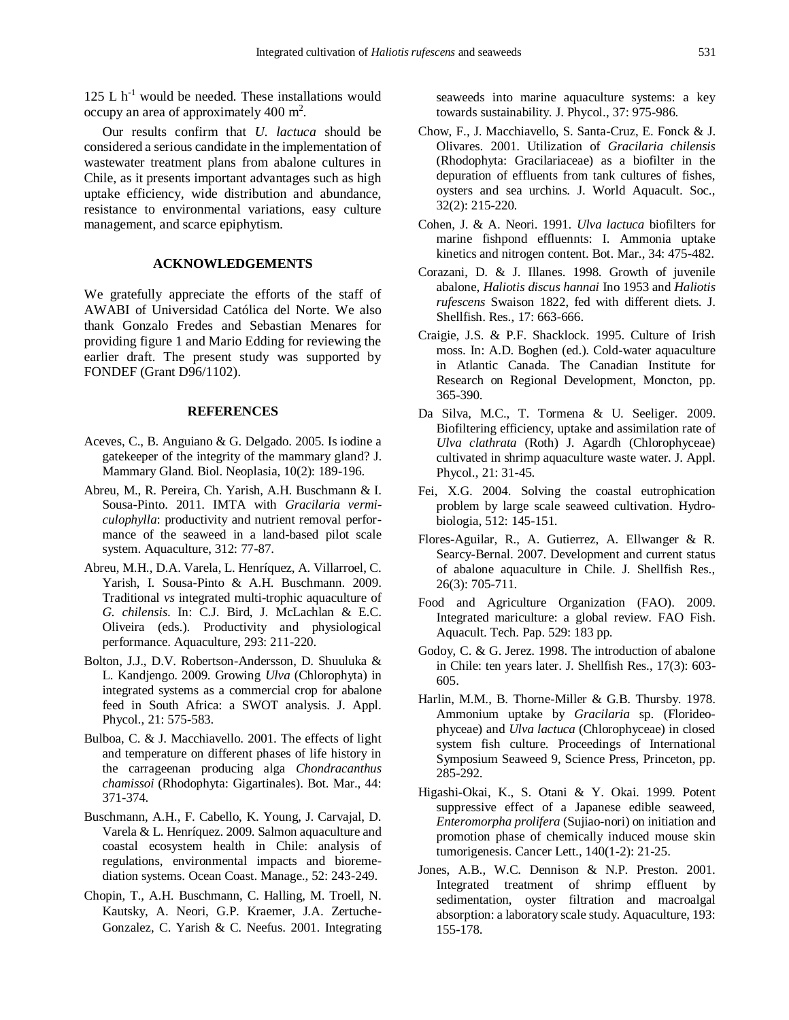125 L  $h^{-1}$  would be needed. These installations would occupy an area of approximately 400  $m^2$ .

Our results confirm that *U. lactuca* should be considered a serious candidate in the implementation of wastewater treatment plans from abalone cultures in Chile, as it presents important advantages such as high uptake efficiency, wide distribution and abundance, resistance to environmental variations, easy culture management, and scarce epiphytism.

## **ACKNOWLEDGEMENTS**

We gratefully appreciate the efforts of the staff of AWABI of Universidad Católica del Norte. We also thank Gonzalo Fredes and Sebastian Menares for providing figure 1 and Mario Edding for reviewing the earlier draft. The present study was supported by FONDEF (Grant D96/1102).

## **REFERENCES**

- Aceves, C., B. Anguiano & G. Delgado. 2005. Is iodine a gatekeeper of the integrity of the mammary gland? J. Mammary Gland. Biol. Neoplasia, 10(2): 189-196.
- Abreu, M., R. Pereira, Ch. Yarish, A.H. Buschmann & I. Sousa-Pinto. 2011. IMTA with *Gracilaria vermiculophylla*: productivity and nutrient removal performance of the seaweed in a land-based pilot scale system. Aquaculture, 312: 77-87.
- Abreu, M.H., D.A. Varela, L. Henríquez, A. Villarroel, C. Yarish, I. Sousa-Pinto & A.H. Buschmann. 2009. Traditional *vs* integrated multi-trophic aquaculture of *G. chilensis*. In: C.J. Bird, J. McLachlan & E.C. Oliveira (eds.). Productivity and physiological performance. Aquaculture, 293: 211-220.
- Bolton, J.J., D.V. Robertson-Andersson, D. Shuuluka & L. Kandjengo. 2009. Growing *Ulva* (Chlorophyta) in integrated systems as a commercial crop for abalone feed in South Africa: a SWOT analysis. J. Appl. Phycol., 21: 575-583.
- Bulboa, C. & J. Macchiavello. 2001. The effects of light and temperature on different phases of life history in the carrageenan producing alga *Chondracanthus chamissoi* (Rhodophyta: Gigartinales). Bot. Mar., 44: 371-374.
- Buschmann, A.H., F. Cabello, K. Young, J. Carvajal, D. Varela & L. Henríquez. 2009. Salmon aquaculture and coastal ecosystem health in Chile: analysis of regulations, environmental impacts and bioremediation systems. Ocean Coast. Manage., 52: 243-249.
- Chopin, T., A.H. Buschmann, C. Halling, M. Troell, N. Kautsky, A. Neori, G.P. Kraemer, J.A. Zertuche-Gonzalez, C. Yarish & C. Neefus. 2001. Integrating

seaweeds into marine aquaculture systems: a key towards sustainability. J. Phycol., 37: 975-986.

- Chow, F., J. Macchiavello, S. Santa-Cruz, E. Fonck & J. Olivares. 2001. Utilization of *Gracilaria chilensis* (Rhodophyta: Gracilariaceae) as a biofilter in the depuration of effluents from tank cultures of fishes, oysters and sea urchins. J. World Aquacult. Soc., 32(2): 215-220.
- Cohen, J. & A. Neori. 1991. *Ulva lactuca* biofilters for marine fishpond effluennts: I. Ammonia uptake kinetics and nitrogen content. Bot. Mar., 34: 475-482.
- Corazani, D. & J. Illanes. 1998. Growth of juvenile abalone, *Haliotis discus hannai* Ino 1953 and *Haliotis rufescens* Swaison 1822, fed with different diets. J. Shellfish. Res., 17: 663-666.
- Craigie, J.S. & P.F. Shacklock. 1995. Culture of Irish moss. In: A.D. Boghen (ed.). Cold-water aquaculture in Atlantic Canada. The Canadian Institute for Research on Regional Development, Moncton, pp. 365-390.
- Da Silva, M.C., T. Tormena & U. Seeliger. 2009. Biofiltering efficiency, uptake and assimilation rate of *Ulva clathrata* (Roth) J. Agardh (Chlorophyceae) cultivated in shrimp aquaculture waste water. J. Appl. Phycol., 21: 31-45.
- Fei, X.G. 2004. Solving the coastal eutrophication problem by large scale seaweed cultivation. Hydrobiologia, 512: 145-151.
- Flores-Aguilar, R., A. Gutierrez, A. Ellwanger & R. Searcy-Bernal. 2007. Development and current status of abalone aquaculture in Chile. J. Shellfish Res., 26(3): 705-711.
- Food and Agriculture Organization (FAO). 2009. Integrated mariculture: a global review. FAO Fish. Aquacult. Tech. Pap. 529: 183 pp.
- Godoy, C. & G. Jerez. 1998. The introduction of abalone in Chile: ten years later. J. Shellfish Res., 17(3): 603- 605.
- Harlin, M.M., B. Thorne-Miller & G.B. Thursby. 1978. Ammonium uptake by *Gracilaria* sp. (Florideophyceae) and *Ulva lactuca* (Chlorophyceae) in closed system fish culture. Proceedings of International Symposium Seaweed 9, Science Press, Princeton, pp. 285-292.
- Higashi-Okai, K., S. Otani & Y. Okai. 1999. Potent suppressive effect of a Japanese edible seaweed, *Enteromorpha prolifera* (Sujiao-nori) on initiation and promotion phase of chemically induced mouse skin tumorigenesis. Cancer Lett., 140(1-2): 21-25.
- Jones, A.B., W.C. Dennison & N.P. Preston. 2001. Integrated treatment of shrimp effluent by sedimentation, oyster filtration and macroalgal absorption: a laboratory scale study. Aquaculture, 193: 155-178.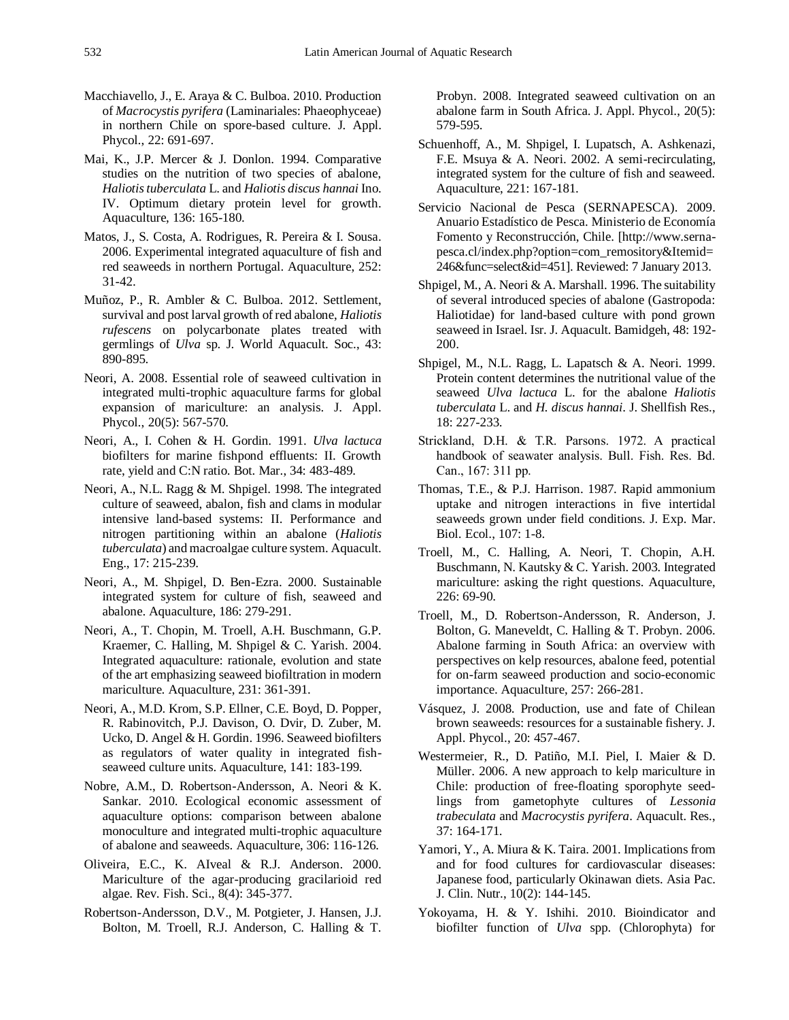- Macchiavello, J., E. Araya & C. Bulboa. 2010. Production of *Macrocystis pyrifera* (Laminariales: Phaeophyceae) in northern Chile on spore-based culture. J. Appl. Phycol., 22: 691-697.
- Mai, K., J.P. Mercer & J. Donlon. 1994. Comparative studies on the nutrition of two species of abalone, *Haliotis tuberculata* L. and *Haliotis discus hannai* Ino. IV. Optimum dietary protein level for growth. Aquaculture, 136: 165-180.
- Matos, J., S. Costa, A. Rodrigues, R. Pereira & I. Sousa. 2006. Experimental integrated aquaculture of fish and red seaweeds in northern Portugal. Aquaculture, 252: 31-42.
- Muñoz, P., R. Ambler & C. Bulboa. 2012. Settlement, survival and post larval growth of red abalone, *Haliotis rufescens* on polycarbonate plates treated with germlings of *Ulva* sp. J. World Aquacult. Soc., 43: 890-895.
- Neori, A. 2008. Essential role of seaweed cultivation in integrated multi-trophic aquaculture farms for global expansion of mariculture: an analysis. J. Appl. Phycol.[, 20\(5\)](http://www.springerlink.com/content/0921-8971/20/5/): 567-570.
- Neori, A., I. Cohen & H. Gordin. 1991. *Ulva lactuca* biofilters for marine fishpond effluents: II. Growth rate, yield and C:N ratio. Bot. Mar., 34: 483-489.
- Neori, A., N.L. Ragg & M. Shpigel. 1998. The integrated culture of seaweed, abalon, fish and clams in modular intensive land-based systems: II. Performance and nitrogen partitioning within an abalone (*Haliotis tuberculata*) and macroalgae culture system. Aquacult. Eng., 17: 215-239.
- Neori, A., M. Shpigel, D. Ben-Ezra. 2000. Sustainable integrated system for culture of fish, seaweed and abalone. Aquaculture, 186: 279-291.
- Neori, A., T. Chopin, M. Troell, A.H. Buschmann, G.P. Kraemer, C. Halling, M. Shpigel & C. Yarish. 2004. Integrated aquaculture: rationale, evolution and state of the art emphasizing seaweed biofiltration in modern mariculture. Aquaculture, 231: 361-391.
- Neori, A., M.D. Krom, S.P. Ellner, C.E. Boyd, D. Popper, R. Rabinovitch, P.J. Davison, O. Dvir, D. Zuber, M. Ucko, D. Angel & H. Gordin. 1996. Seaweed biofilters as regulators of water quality in integrated fishseaweed culture units. Aquaculture, 141: 183-199.
- Nobre, A.M., D. Robertson-Andersson, A. Neori & K. Sankar. 2010. Ecological economic assessment of aquaculture options: comparison between abalone monoculture and integrated multi-trophic aquaculture of abalone and seaweeds. Aquaculture, 306: 116-126.
- Oliveira, E.C., K. AIveal & R.J. Anderson. 2000. Mariculture of the agar-producing gracilarioid red algae. Rev. Fish. Sci., 8(4): 345-377.
- Robertson-Andersson, D.V., M. Potgieter, J. Hansen, J.J. Bolton, M. Troell, R.J. Anderson, C. Halling & T.

Probyn. 2008. Integrated seaweed cultivation on an abalone farm in South Africa. J. Appl. Phycol., 20(5): 579-595.

- Schuenhoff, A., M. Shpigel, I. Lupatsch, A. Ashkenazi, F.E. Msuya & A. Neori. 2002. A semi-recirculating, integrated system for the culture of fish and seaweed. Aquaculture, 221: 167-181.
- Servicio Nacional de Pesca (SERNAPESCA). 2009. Anuario Estadístico de Pesca. Ministerio de Economía Fomento y Reconstrucción, Chile. [http://www.sernapesca.cl/index.php?option=com\_remository&Itemid= 246&func=select&id=451]. Reviewed: 7 January 2013.
- Shpigel, M., A. Neori & A. Marshall. 1996. The suitability of several introduced species of abalone (Gastropoda: Haliotidae) for land-based culture with pond grown seaweed in Israel. Isr. J. Aquacult. Bamidgeh, 48: 192- 200.
- Shpigel, M., N.L. Ragg, L. Lapatsch & A. Neori. 1999. Protein content determines the nutritional value of the seaweed *Ulva lactuca* L. for the abalone *Haliotis tuberculata* L. and *H. discus hannai*. J. Shellfish Res., 18: 227-233.
- Strickland, D.H. & T.R. Parsons. 1972. A practical handbook of seawater analysis. Bull. Fish. Res. Bd. Can., 167: 311 pp.
- Thomas, T.E., & P.J. Harrison. 1987. Rapid ammonium uptake and nitrogen interactions in five intertidal seaweeds grown under field conditions. J. Exp. Mar. Biol. Ecol., 107: 1-8.
- Troell, M., C. Halling, A. Neori, T. Chopin, A.H. Buschmann, N. Kautsky & C. Yarish. 2003. Integrated mariculture: asking the right questions. Aquaculture, 226: 69-90.
- Troell, M., D. Robertson-Andersson, R. Anderson, J. Bolton, G. Maneveldt, C. Halling & T. Probyn. 2006. Abalone farming in South Africa: an overview with perspectives on kelp resources, abalone feed, potential for on-farm seaweed production and socio-economic importance. Aquaculture, 257: 266-281.
- Vásquez, J. 2008. Production, use and fate of Chilean brown seaweeds: resources for a sustainable fishery. J. Appl. Phycol., 20: 457-467.
- Westermeier, R., D. Patiño, M.I. Piel, I. Maier & D. Müller. 2006. A new approach to kelp mariculture in Chile: production of free-floating sporophyte seedlings from gametophyte cultures of *Lessonia trabeculata* and *Macrocystis pyrifera*. Aquacult. Res., 37: 164-171.
- Yamori, Y., A. Miura & K. Taira. 2001. Implications from and for food cultures for cardiovascular diseases: Japanese food, particularly Okinawan diets. Asia Pac. J. Clin. Nutr., 10(2): 144-145.
- Yokoyama, H. & Y. Ishihi. 2010. Bioindicator and biofilter function of *Ulva* spp. (Chlorophyta) for